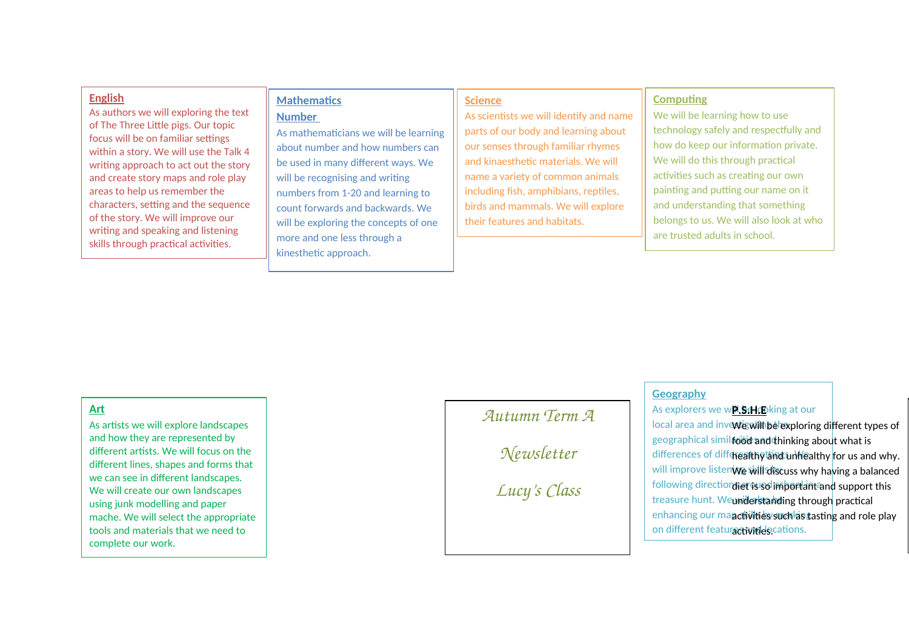#### **English**

As authors we will exploring the text of The Three Little pigs. Our topic focus will be on familiar settings within a story. We will use the Talk 4 writing approach to act out the story and create story maps and role play areas to help us remember the characters, setting and the sequence of the story. We will improve our writing and speaking and listening skills through practical activities.

## **Mathematics**

#### **Number**

As mathematicians we will be learning about number and how numbers can be used in many different ways. We will be recognising and writing numbers from 1-20 and learning to count forwards and backwards. We will be exploring the concepts of one more and one less through a kinesthetic approach.

#### **Science**

As scientists we will identify and name parts of our body and learning about our senses through familiar rhymes and kinaesthetic materials. We will name a variety of common animals including fish, amphibians, reptiles, birds and mammals. We will explore their features and habitats.

#### **Computing**

We will be learning how to use technology safely and respectfully and how do keep our information private. We will do this through practical activities such as creating our own painting and putting our name on it and understanding that something belongs to us. We will also look at who are trusted adults in school.

## o **Art**

As artists we will explore landscapes and how they are represented by different artists. We will focus on the different lines, shapes and forms that we can see in different landscapes. We will create our own landscapes using junk modelling and paper mache. We will select the appropriate tools and materials that we need to complete our work.

## *Autumn Term A*

*Newsletter*

*Lucy's Class*

#### **Geography**

As explorers we w**P.S.H.E**oking at our

local area and inve**vte will be exploring different types of** geographical simil**aood and thinking about what is** differences of di<del>ff¢realthy and why</del>ealthy <mark>for us and why.</mark> will improve listen**ive will discuss why ha<mark>ving a balanced</mark>** following direction liet is so important and support this treasure hunt. We**understanding through** practical enhancing our ma**nctivities such as t**astin<mark>g and role play</mark> on different featuractivities.cations.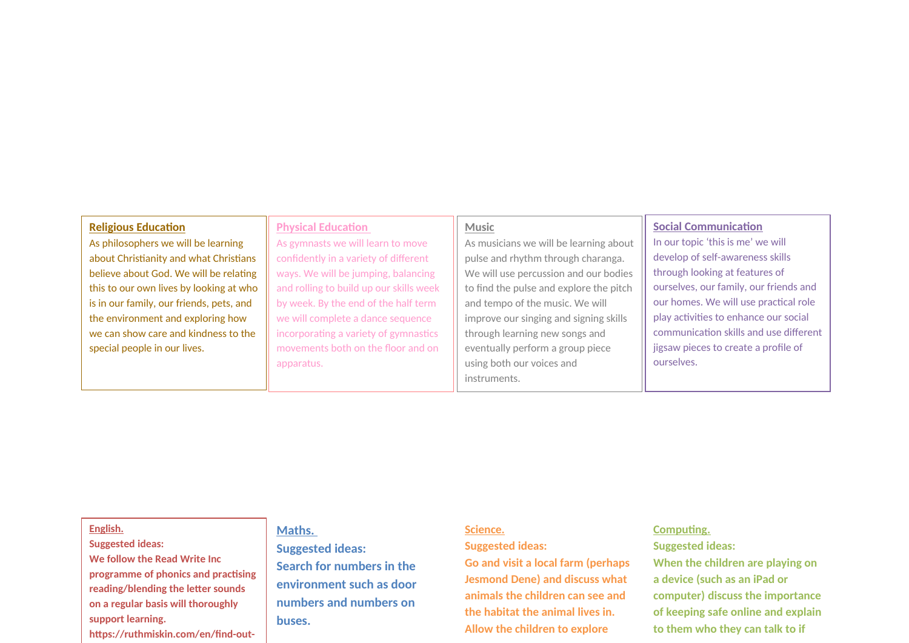#### **Religious Education**

As philosophers we will be learning about Christianity and what Christians believe about God. We will be relating this to our own lives by looking at who is in our family, our friends, pets, and the environment and exploring how we can show care and kindness to the special people in our lives.

#### **Physical Education**

As gymnasts we will learn to move confidently in a variety of different ways. We will be jumping, balancing and rolling to build up our skills week by week. By the end of the half term we will complete a dance sequence incorporating a variety of gymnastics movements both on the floor and on apparatus.

#### **Music**

As musicians we will be learning about pulse and rhythm through charanga. We will use percussion and our bodies to find the pulse and explore the pitch and tempo of the music. We will improve our singing and signing skills through learning new songs and eventually perform a group piece using both our voices and instruments.

#### **Social Communication**

In our topic 'this is me' we will develop of self-awareness skills through looking at features of ourselves, our family, our friends and our homes. We will use practical role play activities to enhance our social communication skills and use different jigsaw pieces to create a profile of ourselves.

#### **English.**

### **Suggested ideas: We follow the Read Write Inc programme of phonics and practising reading/blending the letter sounds on a regular basis will thoroughly support learning. https://ruthmiskin.com/en/find-out-**

#### **Maths.**

**Suggested ideas: Search for numbers in the environment such as door numbers and numbers on buses.** 

#### **Science.**

#### **Suggested ideas:**

**Go and visit a local farm (perhaps Jesmond Dene) and discuss what animals the children can see and the habitat the animal lives in. Allow the children to explore** 

#### **Computing.**

**Suggested ideas:**

**When the children are playing on a device (such as an iPad or computer) discuss the importance of keeping safe online and explain to them who they can talk to if**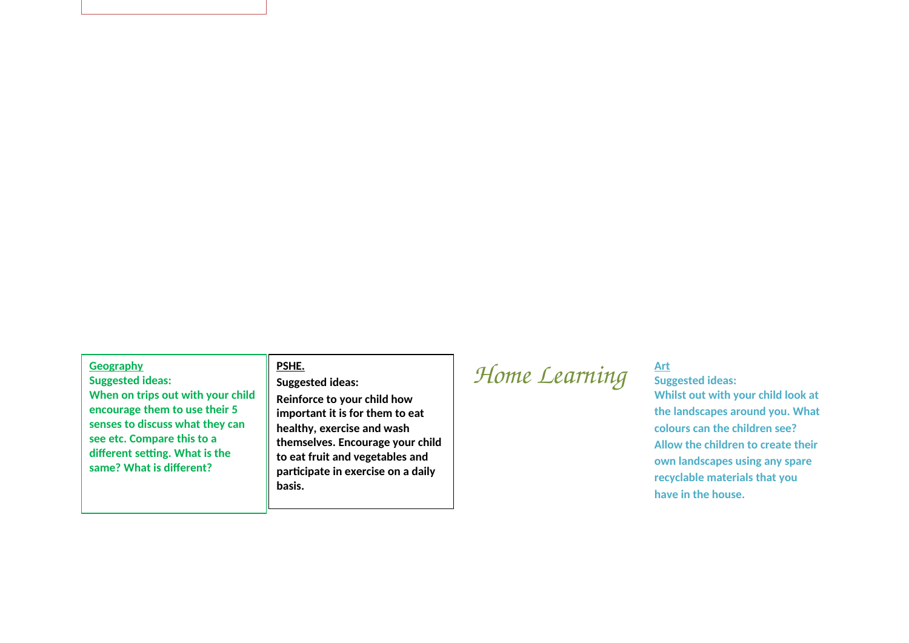#### **Geography**

**Suggested ideas: When on trips out with your child encourage them to use their 5 senses to discuss what they can see etc. Compare this to a different setting. What is the same? What is different?** 

#### **PSHE.**

#### **Suggested ideas:**

**Reinforce to your child how important it is for them to eat healthy, exercise and wash themselves. Encourage your child to eat fruit and vegetables and participate in exercise on a daily basis.** 

# *Home Learning*  $\frac{Art}{s_{ug}}$

## **Suggested ideas:**

**Whilst out with your child look at the landscapes around you. What colours can the children see? Allow the children to create their own landscapes using any spare recyclable materials that you have in the house.**